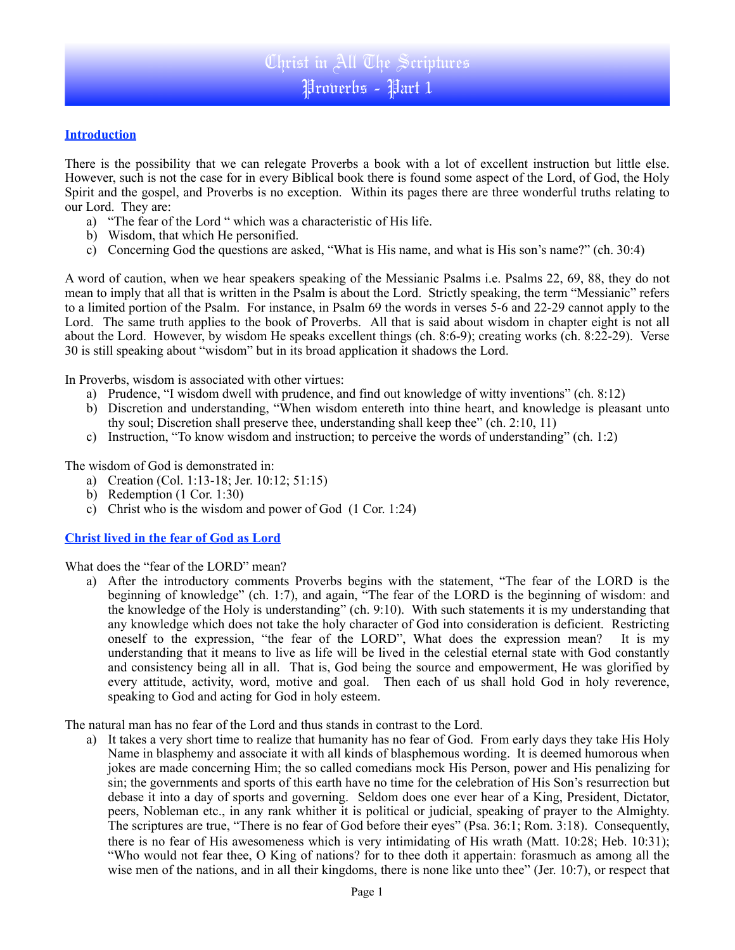### **Introduction**

There is the possibility that we can relegate Proverbs a book with a lot of excellent instruction but little else. However, such is not the case for in every Biblical book there is found some aspect of the Lord, of God, the Holy Spirit and the gospel, and Proverbs is no exception. Within its pages there are three wonderful truths relating to our Lord. They are:

- a) "The fear of the Lord " which was a characteristic of His life.
- b) Wisdom, that which He personified.
- c) Concerning God the questions are asked, "What is His name, and what is His son's name?" (ch. 30:4)

A word of caution, when we hear speakers speaking of the Messianic Psalms i.e. Psalms 22, 69, 88, they do not mean to imply that all that is written in the Psalm is about the Lord. Strictly speaking, the term "Messianic" refers to a limited portion of the Psalm. For instance, in Psalm 69 the words in verses 5-6 and 22-29 cannot apply to the Lord. The same truth applies to the book of Proverbs. All that is said about wisdom in chapter eight is not all about the Lord. However, by wisdom He speaks excellent things (ch. 8:6-9); creating works (ch. 8:22-29). Verse 30 is still speaking about "wisdom" but in its broad application it shadows the Lord.

In Proverbs, wisdom is associated with other virtues:

- a) Prudence, "I wisdom dwell with prudence, and find out knowledge of witty inventions" (ch. 8:12)
- b) Discretion and understanding, "When wisdom entereth into thine heart, and knowledge is pleasant unto thy soul; Discretion shall preserve thee, understanding shall keep thee" (ch. 2:10, 11)
- c) Instruction, "To know wisdom and instruction; to perceive the words of understanding" (ch. 1:2)

The wisdom of God is demonstrated in:

- a) Creation (Col. 1:13-18; Jer. 10:12; 51:15)
- b) Redemption (1 Cor. 1:30)
- c) Christ who is the wisdom and power of God (1 Cor. 1:24)

### **Christ lived in the fear of God as Lord**

What does the "fear of the LORD" mean?

a) After the introductory comments Proverbs begins with the statement, "The fear of the LORD is the beginning of knowledge" (ch. 1:7), and again, "The fear of the LORD is the beginning of wisdom: and the knowledge of the Holy is understanding" (ch. 9:10). With such statements it is my understanding that any knowledge which does not take the holy character of God into consideration is deficient. Restricting oneself to the expression, "the fear of the LORD", What does the expression mean? It is my understanding that it means to live as life will be lived in the celestial eternal state with God constantly and consistency being all in all. That is, God being the source and empowerment, He was glorified by every attitude, activity, word, motive and goal. Then each of us shall hold God in holy reverence, speaking to God and acting for God in holy esteem.

The natural man has no fear of the Lord and thus stands in contrast to the Lord.

a) It takes a very short time to realize that humanity has no fear of God. From early days they take His Holy Name in blasphemy and associate it with all kinds of blasphemous wording. It is deemed humorous when jokes are made concerning Him; the so called comedians mock His Person, power and His penalizing for sin; the governments and sports of this earth have no time for the celebration of His Son's resurrection but debase it into a day of sports and governing. Seldom does one ever hear of a King, President, Dictator, peers, Nobleman etc., in any rank whither it is political or judicial, speaking of prayer to the Almighty. The scriptures are true, "There is no fear of God before their eyes" (Psa. 36:1; Rom. 3:18). Consequently, there is no fear of His awesomeness which is very intimidating of His wrath (Matt. 10:28; Heb. 10:31); "Who would not fear thee, O King of nations? for to thee doth it appertain: forasmuch as among all the wise men of the nations, and in all their kingdoms, there is none like unto thee" (Jer. 10:7), or respect that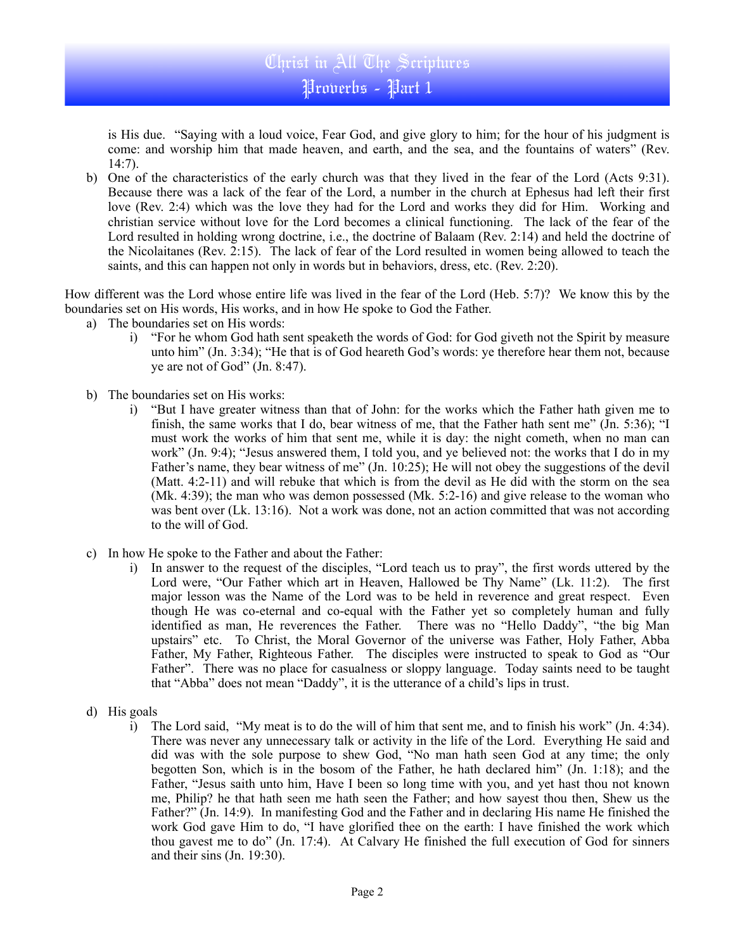## Christ in All The Scriptures Proverbs - Part 1

is His due. "Saying with a loud voice, Fear God, and give glory to him; for the hour of his judgment is come: and worship him that made heaven, and earth, and the sea, and the fountains of waters" (Rev. 14:7).

b) One of the characteristics of the early church was that they lived in the fear of the Lord (Acts 9:31). Because there was a lack of the fear of the Lord, a number in the church at Ephesus had left their first love (Rev. 2:4) which was the love they had for the Lord and works they did for Him. Working and christian service without love for the Lord becomes a clinical functioning. The lack of the fear of the Lord resulted in holding wrong doctrine, i.e., the doctrine of Balaam (Rev. 2:14) and held the doctrine of the Nicolaitanes (Rev. 2:15). The lack of fear of the Lord resulted in women being allowed to teach the saints, and this can happen not only in words but in behaviors, dress, etc. (Rev. 2:20).

How different was the Lord whose entire life was lived in the fear of the Lord (Heb. 5:7)? We know this by the boundaries set on His words, His works, and in how He spoke to God the Father.

- a) The boundaries set on His words:
	- i) "For he whom God hath sent speaketh the words of God: for God giveth not the Spirit by measure unto him" (Jn. 3:34); "He that is of God heareth God's words: ye therefore hear them not, because ye are not of God" (Jn. 8:47).
- b) The boundaries set on His works:
	- i) "But I have greater witness than that of John: for the works which the Father hath given me to finish, the same works that I do, bear witness of me, that the Father hath sent me" (Jn. 5:36); "I must work the works of him that sent me, while it is day: the night cometh, when no man can work" (Jn. 9:4); "Jesus answered them, I told you, and ye believed not: the works that I do in my Father's name, they bear witness of me" (Jn. 10:25); He will not obey the suggestions of the devil (Matt. 4:2-11) and will rebuke that which is from the devil as He did with the storm on the sea (Mk. 4:39); the man who was demon possessed (Mk. 5:2-16) and give release to the woman who was bent over (Lk. 13:16). Not a work was done, not an action committed that was not according to the will of God.
- c) In how He spoke to the Father and about the Father:
	- i) In answer to the request of the disciples, "Lord teach us to pray", the first words uttered by the Lord were, "Our Father which art in Heaven, Hallowed be Thy Name" (Lk. 11:2). The first major lesson was the Name of the Lord was to be held in reverence and great respect. Even though He was co-eternal and co-equal with the Father yet so completely human and fully identified as man, He reverences the Father. There was no "Hello Daddy", "the big Man upstairs" etc. To Christ, the Moral Governor of the universe was Father, Holy Father, Abba Father, My Father, Righteous Father. The disciples were instructed to speak to God as "Our Father". There was no place for casualness or sloppy language. Today saints need to be taught that "Abba" does not mean "Daddy", it is the utterance of a child's lips in trust.
- d) His goals
	- i) The Lord said, "My meat is to do the will of him that sent me, and to finish his work" (Jn. 4:34). There was never any unnecessary talk or activity in the life of the Lord. Everything He said and did was with the sole purpose to shew God, "No man hath seen God at any time; the only begotten Son, which is in the bosom of the Father, he hath declared him" (Jn. 1:18); and the Father, "Jesus saith unto him, Have I been so long time with you, and yet hast thou not known me, Philip? he that hath seen me hath seen the Father; and how sayest thou then, Shew us the Father?" (Jn. 14:9). In manifesting God and the Father and in declaring His name He finished the work God gave Him to do, "I have glorified thee on the earth: I have finished the work which thou gavest me to do" (Jn. 17:4). At Calvary He finished the full execution of God for sinners and their sins (Jn. 19:30).